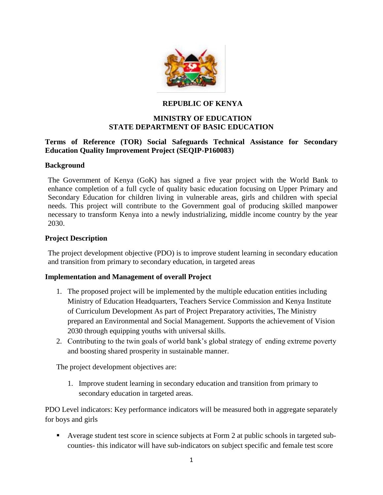

## **REPUBLIC OF KENYA**

# **MINISTRY OF EDUCATION STATE DEPARTMENT OF BASIC EDUCATION**

### **Terms of Reference (TOR) Social Safeguards Technical Assistance for Secondary Education Quality Improvement Project (SEQIP-P160083)**

#### **Background**

The Government of Kenya (GoK) has signed a five year project with the World Bank to enhance completion of a full cycle of quality basic education focusing on Upper Primary and Secondary Education for children living in vulnerable areas, girls and children with special needs. This project will contribute to the Government goal of producing skilled manpower necessary to transform Kenya into a newly industrializing, middle income country by the year 2030.

### **Project Description**

The project development objective (PDO) is to improve student learning in secondary education and transition from primary to secondary education, in targeted areas

#### **Implementation and Management of overall Project**

- 1. The proposed project will be implemented by the multiple education entities including Ministry of Education Headquarters, Teachers Service Commission and Kenya Institute of Curriculum Development As part of Project Preparatory activities, The Ministry prepared an Environmental and Social Management. Supports the achievement of Vision 2030 through equipping youths with universal skills.
- 2. Contributing to the twin goals of world bank's global strategy of ending extreme poverty and boosting shared prosperity in sustainable manner.

The project development objectives are:

1. Improve student learning in secondary education and transition from primary to secondary education in targeted areas.

PDO Level indicators: Key performance indicators will be measured both in aggregate separately for boys and girls

 Average student test score in science subjects at Form 2 at public schools in targeted subcounties- this indicator will have sub-indicators on subject specific and female test score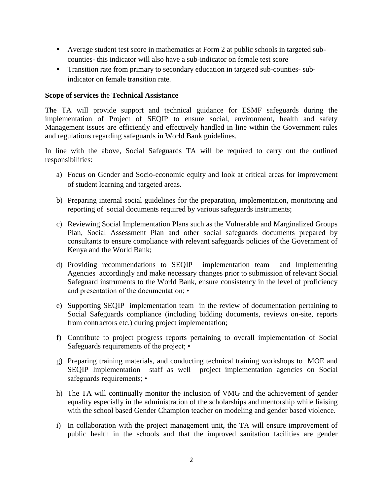- Average student test score in mathematics at Form 2 at public schools in targeted subcounties- this indicator will also have a sub-indicator on female test score
- **Transition rate from primary to secondary education in targeted sub-counties- sub**indicator on female transition rate.

#### **Scope of services** the **Technical Assistance**

The TA will provide support and technical guidance for ESMF safeguards during the implementation of Project of SEQIP to ensure social, environment, health and safety Management issues are efficiently and effectively handled in line within the Government rules and regulations regarding safeguards in World Bank guidelines.

In line with the above, Social Safeguards TA will be required to carry out the outlined responsibilities:

- a) Focus on Gender and Socio-economic equity and look at critical areas for improvement of student learning and targeted areas.
- b) Preparing internal social guidelines for the preparation, implementation, monitoring and reporting of social documents required by various safeguards instruments;
- c) Reviewing Social Implementation Plans such as the Vulnerable and Marginalized Groups Plan, Social Assessment Plan and other social safeguards documents prepared by consultants to ensure compliance with relevant safeguards policies of the Government of Kenya and the World Bank;
- d) Providing recommendations to SEQIP implementation team and Implementing Agencies accordingly and make necessary changes prior to submission of relevant Social Safeguard instruments to the World Bank, ensure consistency in the level of proficiency and presentation of the documentation; •
- e) Supporting SEQIP implementation team in the review of documentation pertaining to Social Safeguards compliance (including bidding documents, reviews on-site, reports from contractors etc.) during project implementation;
- f) Contribute to project progress reports pertaining to overall implementation of Social Safeguards requirements of the project; •
- g) Preparing training materials, and conducting technical training workshops to MOE and SEQIP Implementation staff as well project implementation agencies on Social safeguards requirements; •
- h) The TA will continually monitor the inclusion of VMG and the achievement of gender equality especially in the administration of the scholarships and mentorship while liaising with the school based Gender Champion teacher on modeling and gender based violence.
- i) In collaboration with the project management unit, the TA will ensure improvement of public health in the schools and that the improved sanitation facilities are gender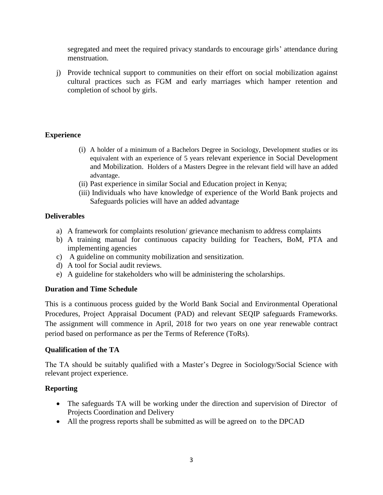segregated and meet the required privacy standards to encourage girls' attendance during menstruation.

j) Provide technical support to communities on their effort on social mobilization against cultural practices such as FGM and early marriages which hamper retention and completion of school by girls.

## **Experience**

- (i) A holder of a minimum of a Bachelors Degree in Sociology, Development studies or its equivalent with an experience of 5 years relevant experience in Social Development and Mobilization. Holders of a Masters Degree in the relevant field will have an added advantage.
- (ii) Past experience in similar Social and Education project in Kenya;
- (iii) Individuals who have knowledge of experience of the World Bank projects and Safeguards policies will have an added advantage

## **Deliverables**

- a) A framework for complaints resolution/ grievance mechanism to address complaints
- b) A training manual for continuous capacity building for Teachers, BoM, PTA and implementing agencies
- c) A guideline on community mobilization and sensitization.
- d) A tool for Social audit reviews.
- e) A guideline for stakeholders who will be administering the scholarships.

## **Duration and Time Schedule**

This is a continuous process guided by the World Bank Social and Environmental Operational Procedures, Project Appraisal Document (PAD) and relevant SEQIP safeguards Frameworks. The assignment will commence in April, 2018 for two years on one year renewable contract period based on performance as per the Terms of Reference (ToRs).

## **Qualification of the TA**

The TA should be suitably qualified with a Master's Degree in Sociology/Social Science with relevant project experience.

## **Reporting**

- The safeguards TA will be working under the direction and supervision of Director of Projects Coordination and Delivery
- All the progress reports shall be submitted as will be agreed on to the DPCAD